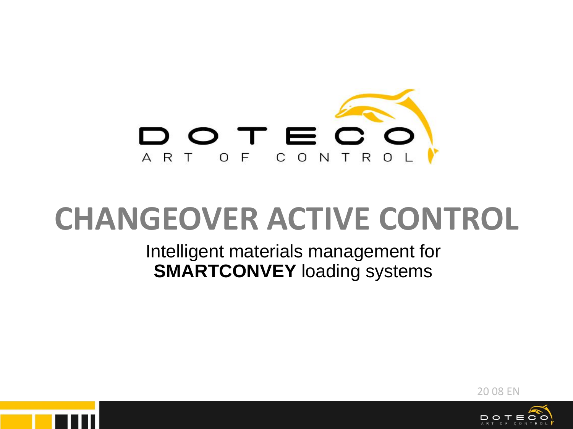

# **CHANGEOVER ACTIVE CONTROL**

Intelligent materials management for **SMARTCONVEY** loading systems





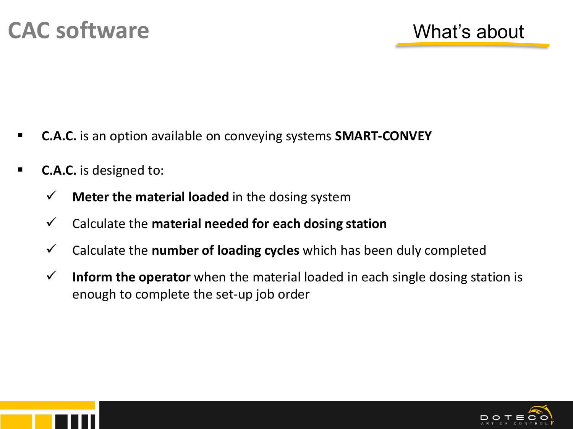- **C.A.C.** is an option available on conveying systems **SMART-CONVEY**
- **C.A.C.** is designed to:
	- ✓ **Meter the material loaded** in the dosing system
	- ✓ Calculate the **material needed for each dosing station**
	- ✓ Calculate the **number of loading cycles** which has been duly completed
	- ✓ **Inform the operator** when the material loaded in each single dosing station is enough to complete the set-up job order



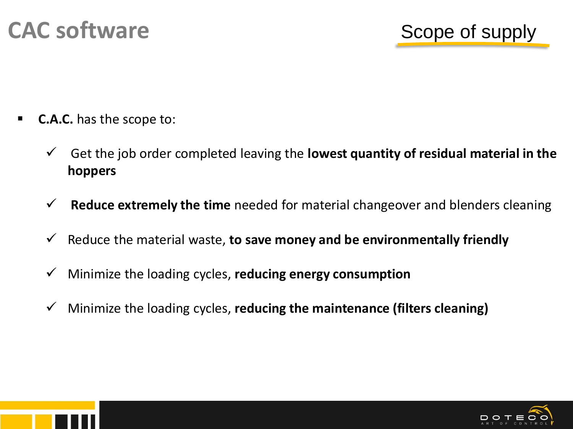

- **C.A.C.** has the scope to:
	- ✓ Get the job order completed leaving the **lowest quantity of residual material in the hoppers**
	- ✓ **Reduce extremely the time** needed for material changeover and blenders cleaning
	- ✓ Reduce the material waste, **to save money and be environmentally friendly**
	- ✓ Minimize the loading cycles, **reducing energy consumption**
	- ✓ Minimize the loading cycles, **reducing the maintenance (filters cleaning)**



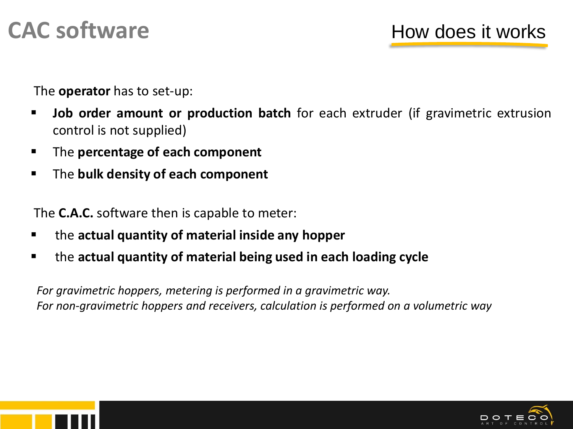### **CAC software** How does it works

The **operator** has to set-up:

- **Job order amount or production batch** for each extruder (if gravimetric extrusion control is not supplied)
- The **percentage of each component**
- The **bulk density of each component**

The **C.A.C.** software then is capable to meter:

- the **actual quantity of material inside any hopper**
- the **actual quantity of material being used in each loading cycle**

*For gravimetric hoppers, metering is performed in a gravimetric way. For non-gravimetric hoppers and receivers, calculation is performed on a volumetric way*

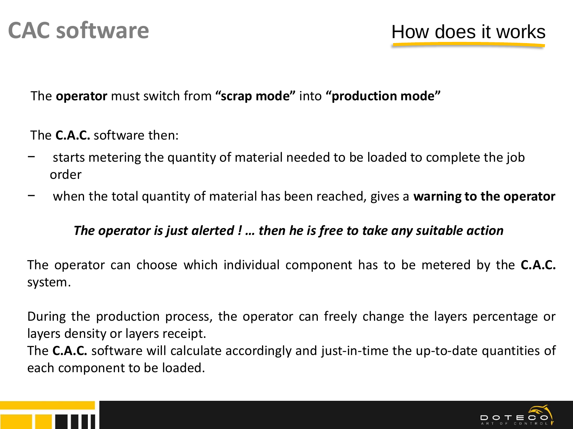The **operator** must switch from **"scrap mode"** into **"production mode"** 

The **C.A.C.** software then:

- − starts metering the quantity of material needed to be loaded to complete the job order
- − when the total quantity of material has been reached, gives a **warning to the operator**

### *The operator is just alerted ! … then he is free to take any suitable action*

The operator can choose which individual component has to be metered by the **C.A.C.** system.

During the production process, the operator can freely change the layers percentage or layers density or layers receipt.

The **C.A.C.** software will calculate accordingly and just-in-time the up-to-date quantities of each component to be loaded.



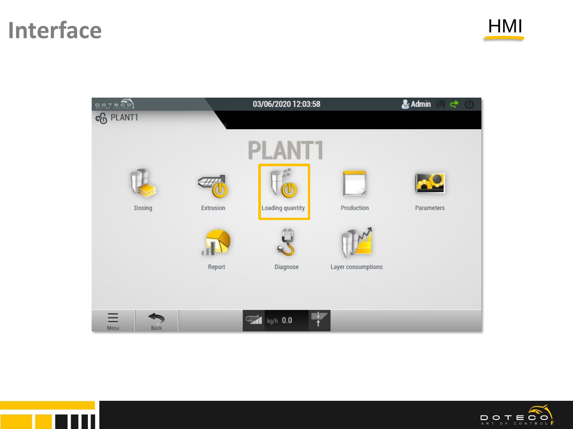## Interface HMI **HMI**







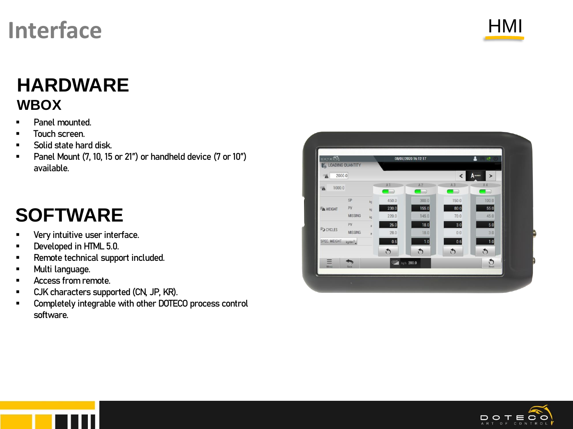## **Interface**



### **HARDWARE WBOX**

- Panel mounted.
- Touch screen.
- Solid state hard disk.
- Panel Mount (7, 10, 15 or 21") or handheld device (7 or 10") available.

## **SOFTWARE**

- Very intuitive user interface. .
- Developed in HTML 5.0.
- Remote technical support included. .
- Multi language. .
- Access from remote.
- CJK characters supported (CN, JP, KR).
- Completely integrable with other DOTECO process control software.



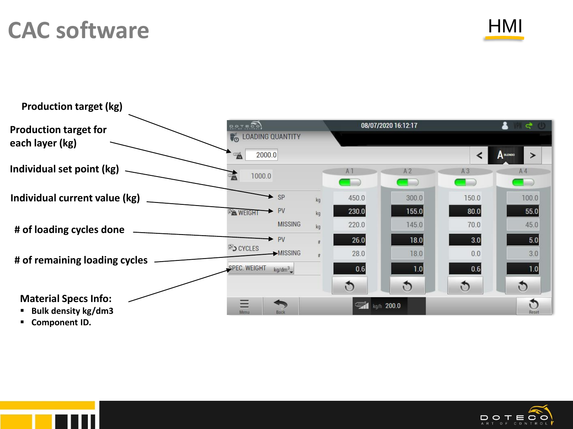## **CAC software**





 $\underset{\scriptscriptstyle{\wedge}\;\mathsf{R}\;\mathsf{T}}{\mathop{\mathsf{D}}}\underset{\scriptscriptstyle{\mathsf{O}}\;\mathsf{F}}{\mathop{\mathsf{D}}}\underset{\scriptscriptstyle{\mathsf{C}}\;\mathsf{D}\;\mathsf{N}\;\mathsf{T}}{\mathop{\mathsf{E}}}\underset{\scriptscriptstyle{\mathsf{D}}\;\mathsf{O}}{\mathop{\mathsf{D}}}\underset{\scriptscriptstyle{\mathsf{L}}}{\mathop{\mathsf{D}}}\underset{\scriptscriptstyle{\mathsf{D}}\;\mathsf{O}}{\mathop{\mathsf{D}}}\,\mathsf{D}$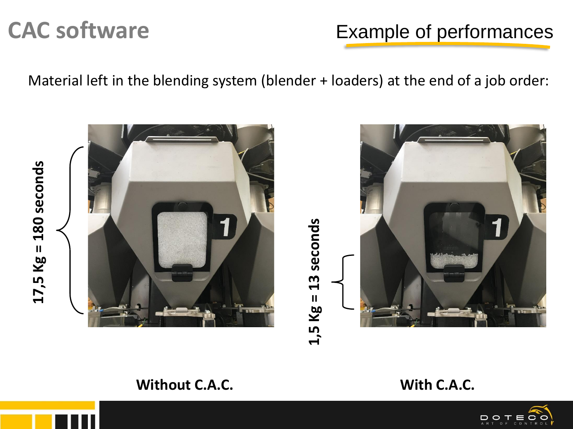### **CAC software** Example of performances

Material left in the blending system (blender + loaders) at the end of a job order:

 $17,5$  Kg =  $180$  seconds **17,5 Kg = 180 seconds**